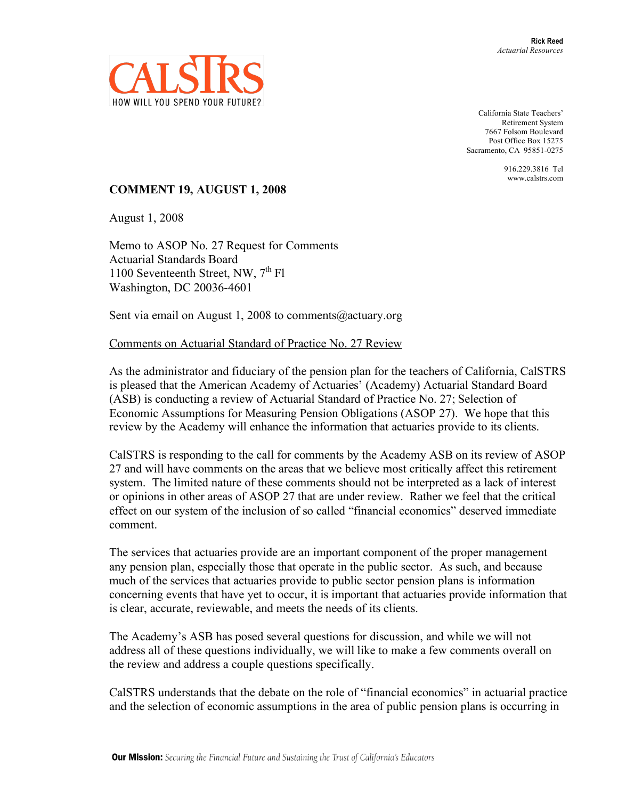

California State Teachers' Retirement System 7667 Folsom Boulevard Post Office Box 15275 Sacramento, CA 95851-0275

> 916.229.3816 Tel www.calstrs.com

## **COMMENT 19, AUGUST 1, 2008**

August 1, 2008

Memo to ASOP No. 27 Request for Comments Actuarial Standards Board 1100 Seventeenth Street, NW, 7<sup>th</sup> Fl Washington, DC 20036-4601

Sent via email on August 1, 2008 to comments@actuary.org

Comments on Actuarial Standard of Practice No. 27 Review

As the administrator and fiduciary of the pension plan for the teachers of California, CalSTRS is pleased that the American Academy of Actuaries' (Academy) Actuarial Standard Board (ASB) is conducting a review of Actuarial Standard of Practice No. 27; Selection of Economic Assumptions for Measuring Pension Obligations (ASOP 27). We hope that this review by the Academy will enhance the information that actuaries provide to its clients.

CalSTRS is responding to the call for comments by the Academy ASB on its review of ASOP 27 and will have comments on the areas that we believe most critically affect this retirement system. The limited nature of these comments should not be interpreted as a lack of interest or opinions in other areas of ASOP 27 that are under review. Rather we feel that the critical effect on our system of the inclusion of so called "financial economics" deserved immediate comment.

The services that actuaries provide are an important component of the proper management any pension plan, especially those that operate in the public sector. As such, and because much of the services that actuaries provide to public sector pension plans is information concerning events that have yet to occur, it is important that actuaries provide information that is clear, accurate, reviewable, and meets the needs of its clients.

The Academy's ASB has posed several questions for discussion, and while we will not address all of these questions individually, we will like to make a few comments overall on the review and address a couple questions specifically.

CalSTRS understands that the debate on the role of "financial economics" in actuarial practice and the selection of economic assumptions in the area of public pension plans is occurring in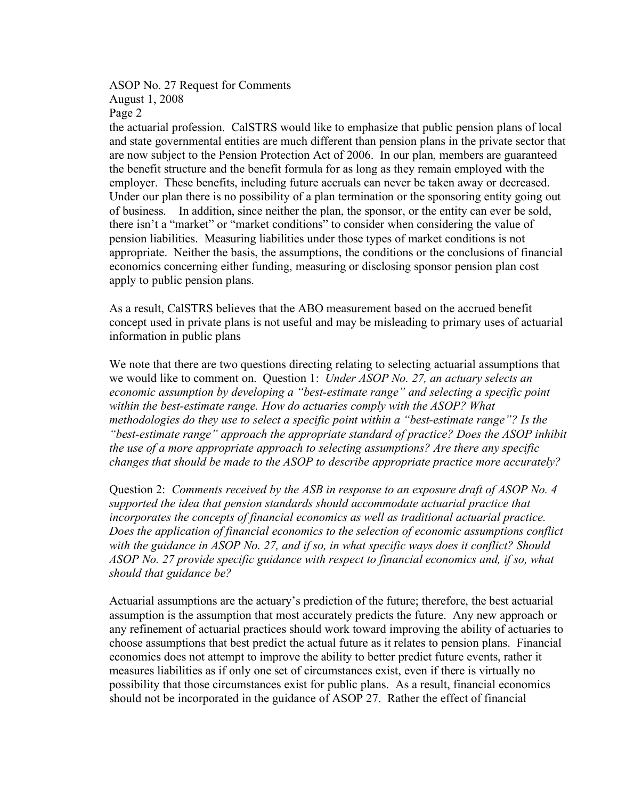## ASOP No. 27 Request for Comments August 1, 2008 Page 2

the actuarial profession. CalSTRS would like to emphasize that public pension plans of local and state governmental entities are much different than pension plans in the private sector that are now subject to the Pension Protection Act of 2006. In our plan, members are guaranteed the benefit structure and the benefit formula for as long as they remain employed with the employer. These benefits, including future accruals can never be taken away or decreased. Under our plan there is no possibility of a plan termination or the sponsoring entity going out of business. In addition, since neither the plan, the sponsor, or the entity can ever be sold, there isn't a "market" or "market conditions" to consider when considering the value of pension liabilities. Measuring liabilities under those types of market conditions is not appropriate. Neither the basis, the assumptions, the conditions or the conclusions of financial economics concerning either funding, measuring or disclosing sponsor pension plan cost apply to public pension plans.

As a result, CalSTRS believes that the ABO measurement based on the accrued benefit concept used in private plans is not useful and may be misleading to primary uses of actuarial information in public plans

We note that there are two questions directing relating to selecting actuarial assumptions that we would like to comment on. Question 1: *Under ASOP No. 27, an actuary selects an economic assumption by developing a "best-estimate range" and selecting a specific point within the best-estimate range. How do actuaries comply with the ASOP? What methodologies do they use to select a specific point within a "best-estimate range"? Is the "best-estimate range" approach the appropriate standard of practice? Does the ASOP inhibit the use of a more appropriate approach to selecting assumptions? Are there any specific changes that should be made to the ASOP to describe appropriate practice more accurately?*

Question 2: *Comments received by the ASB in response to an exposure draft of ASOP No. 4 supported the idea that pension standards should accommodate actuarial practice that incorporates the concepts of financial economics as well as traditional actuarial practice. Does the application of financial economics to the selection of economic assumptions conflict with the guidance in ASOP No. 27, and if so, in what specific ways does it conflict? Should ASOP No. 27 provide specific guidance with respect to financial economics and, if so, what should that guidance be?*

Actuarial assumptions are the actuary's prediction of the future; therefore, the best actuarial assumption is the assumption that most accurately predicts the future. Any new approach or any refinement of actuarial practices should work toward improving the ability of actuaries to choose assumptions that best predict the actual future as it relates to pension plans. Financial economics does not attempt to improve the ability to better predict future events, rather it measures liabilities as if only one set of circumstances exist, even if there is virtually no possibility that those circumstances exist for public plans. As a result, financial economics should not be incorporated in the guidance of ASOP 27. Rather the effect of financial